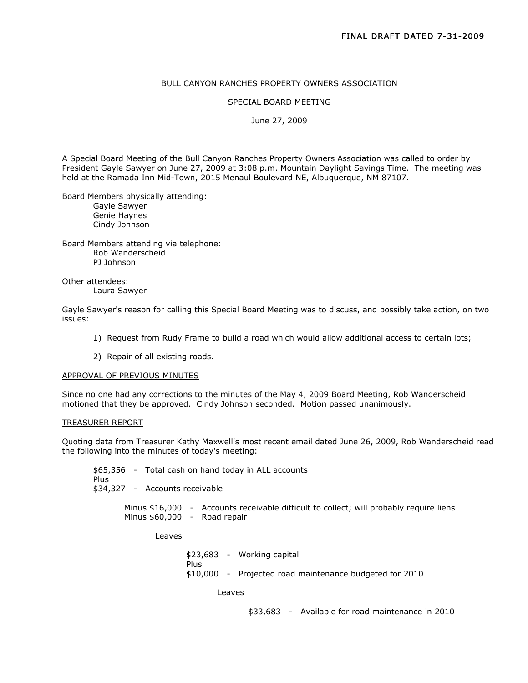## BULL CANYON RANCHES PROPERTY OWNERS ASSOCIATION

## SPECIAL BOARD MEETING

June 27, 2009

A Special Board Meeting of the Bull Canyon Ranches Property Owners Association was called to order by President Gayle Sawyer on June 27, 2009 at 3:08 p.m. Mountain Daylight Savings Time. The meeting was held at the Ramada Inn Mid-Town, 2015 Menaul Boulevard NE, Albuquerque, NM 87107.

Board Members physically attending: Gayle Sawyer Genie Haynes

Cindy Johnson

Board Members attending via telephone: Rob Wanderscheid PJ Johnson

Other attendees: Laura Sawyer

Gayle Sawyer's reason for calling this Special Board Meeting was to discuss, and possibly take action, on two issues:

- 1) Request from Rudy Frame to build a road which would allow additional access to certain lots;
- 2) Repair of all existing roads.

#### APPROVAL OF PREVIOUS MINUTES

Since no one had any corrections to the minutes of the May 4, 2009 Board Meeting, Rob Wanderscheid motioned that they be approved. Cindy Johnson seconded. Motion passed unanimously.

### TREASURER REPORT

Quoting data from Treasurer Kathy Maxwell's most recent email dated June 26, 2009, Rob Wanderscheid read the following into the minutes of today's meeting:

\$65,356 - Total cash on hand today in ALL accounts Plus \$34,327 - Accounts receivable

Minus \$16,000 - Accounts receivable difficult to collect; will probably require liens Minus \$60,000 - Road repair

Leaves

\$23,683 - Working capital Plus \$10,000 - Projected road maintenance budgeted for 2010

Leaves

\$33,683 - Available for road maintenance in 2010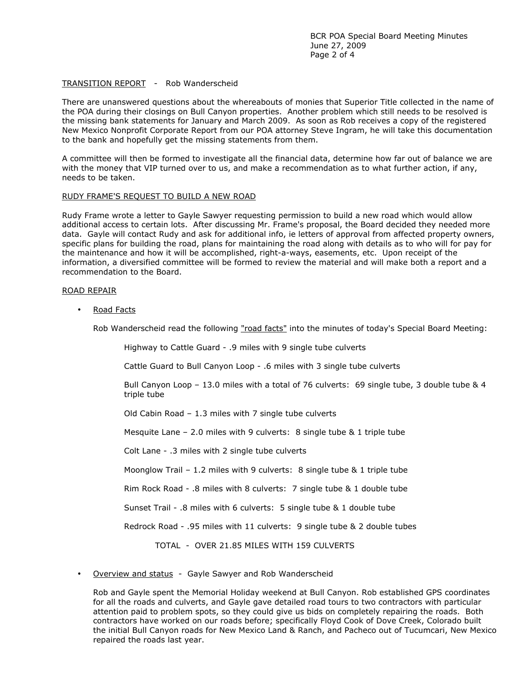# TRANSITION REPORT - Rob Wanderscheid

There are unanswered questions about the whereabouts of monies that Superior Title collected in the name of the POA during their closings on Bull Canyon properties. Another problem which still needs to be resolved is the missing bank statements for January and March 2009. As soon as Rob receives a copy of the registered New Mexico Nonprofit Corporate Report from our POA attorney Steve Ingram, he will take this documentation to the bank and hopefully get the missing statements from them.

A committee will then be formed to investigate all the financial data, determine how far out of balance we are with the money that VIP turned over to us, and make a recommendation as to what further action, if any, needs to be taken.

## RUDY FRAME'S REQUEST TO BUILD A NEW ROAD

Rudy Frame wrote a letter to Gayle Sawyer requesting permission to build a new road which would allow additional access to certain lots. After discussing Mr. Frame's proposal, the Board decided they needed more data. Gayle will contact Rudy and ask for additional info, ie letters of approval from affected property owners, specific plans for building the road, plans for maintaining the road along with details as to who will for pay for the maintenance and how it will be accomplished, right-a-ways, easements, etc. Upon receipt of the information, a diversified committee will be formed to review the material and will make both a report and a recommendation to the Board.

### ROAD REPAIR

• Road Facts

Rob Wanderscheid read the following "road facts" into the minutes of today's Special Board Meeting:

Highway to Cattle Guard - .9 miles with 9 single tube culverts

Cattle Guard to Bull Canyon Loop - .6 miles with 3 single tube culverts

Bull Canyon Loop – 13.0 miles with a total of 76 culverts: 69 single tube, 3 double tube & 4 triple tube

Old Cabin Road – 1.3 miles with 7 single tube culverts

Mesquite Lane – 2.0 miles with 9 culverts: 8 single tube & 1 triple tube

Colt Lane - .3 miles with 2 single tube culverts

Moonglow Trail – 1.2 miles with 9 culverts: 8 single tube & 1 triple tube

Rim Rock Road - .8 miles with 8 culverts: 7 single tube & 1 double tube

Sunset Trail - .8 miles with 6 culverts: 5 single tube & 1 double tube

Redrock Road - .95 miles with 11 culverts: 9 single tube & 2 double tubes

TOTAL - OVER 21.85 MILES WITH 159 CULVERTS

• Overview and status - Gayle Sawyer and Rob Wanderscheid

Rob and Gayle spent the Memorial Holiday weekend at Bull Canyon. Rob established GPS coordinates for all the roads and culverts, and Gayle gave detailed road tours to two contractors with particular attention paid to problem spots, so they could give us bids on completely repairing the roads. Both contractors have worked on our roads before; specifically Floyd Cook of Dove Creek, Colorado built the initial Bull Canyon roads for New Mexico Land & Ranch, and Pacheco out of Tucumcari, New Mexico repaired the roads last year.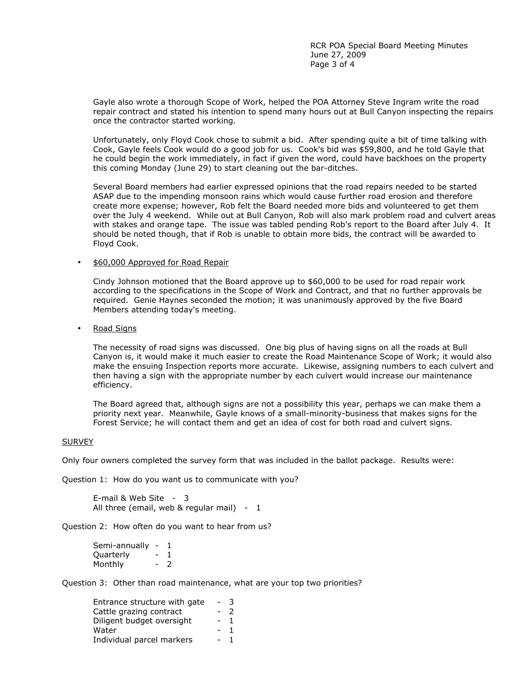RCR POA Special Board Meeting Minutes June 27, 2009 Page 3 of 4

Gayle also wrote a thorough Scope of Work, helped the POA Attorney Steve Ingram write the road repair contract and stated his intention to spend many hours out at Bull Canyon inspecting the repairs once the contractor started working.

Unfortunately, only Floyd Cook chose to submit a bid. After spending quite a bit of time talking with Cook, Gayle feels Cook would do a good job for us. Cook's bid was \$59,800, and he told Gayle that he could begin the work immediately, in fact if given the word, could have backhoes on the property this coming Monday (June 29) to start cleaning out the bar-ditches.

Several Board members had earlier expressed opinions that the road repairs needed to be started ASAP due to the impending monsoon rains which would cause further road erosion and therefore create more expense; however, Rob felt the Board needed more bids and volunteered to get them over the July 4 weekend. While out at Bull Canyon, Rob will also mark problem road and culvert areas with stakes and orange tape. The issue was tabled pending Rob's report to the Board after July 4. It should be noted though, that if Rob is unable to obtain more bids, the contract will be awarded to Floyd Cook.

## • \$60,000 Approved for Road Repair

Cindy Johnson motioned that the Board approve up to \$60,000 to be used for road repair work according to the specifications in the Scope of Work and Contract, and that no further approvals be required. Genie Haynes seconded the motion; it was unanimously approved by the five Board Members attending today's meeting.

• Road Signs

The necessity of road signs was discussed. One big plus of having signs on all the roads at Bull Canyon is, it would make it much easier to create the Road Maintenance Scope of Work; it would also make the ensuing Inspection reports more accurate. Likewise, assigning numbers to each culvert and then having a sign with the appropriate number by each culvert would increase our maintenance efficiency.

The Board agreed that, although signs are not a possibility this year, perhaps we can make them a priority next year. Meanwhile, Gayle knows of a small-minority-business that makes signs for the Forest Service; he will contact them and get an idea of cost for both road and culvert signs.

### **SURVEY**

Only four owners completed the survey form that was included in the ballot package. Results were:

Question 1: How do you want us to communicate with you?

E-mail & Web Site - 3 All three (email, web  $&$  regular mail) -  $1$ 

Question 2: How often do you want to hear from us?

| Semi-annually |   | 1             |
|---------------|---|---------------|
| Quarterly     | - |               |
| Monthly       |   | $\mathcal{P}$ |

Question 3: Other than road maintenance, what are your top two priorities?

| Entrance structure with gate | $\overline{\phantom{0}}$ | 3             |
|------------------------------|--------------------------|---------------|
| Cattle grazing contract      |                          | $\mathcal{L}$ |
| Diligent budget oversight    |                          | 1             |
| Water                        |                          | 1             |
| Individual parcel markers    |                          | 1             |